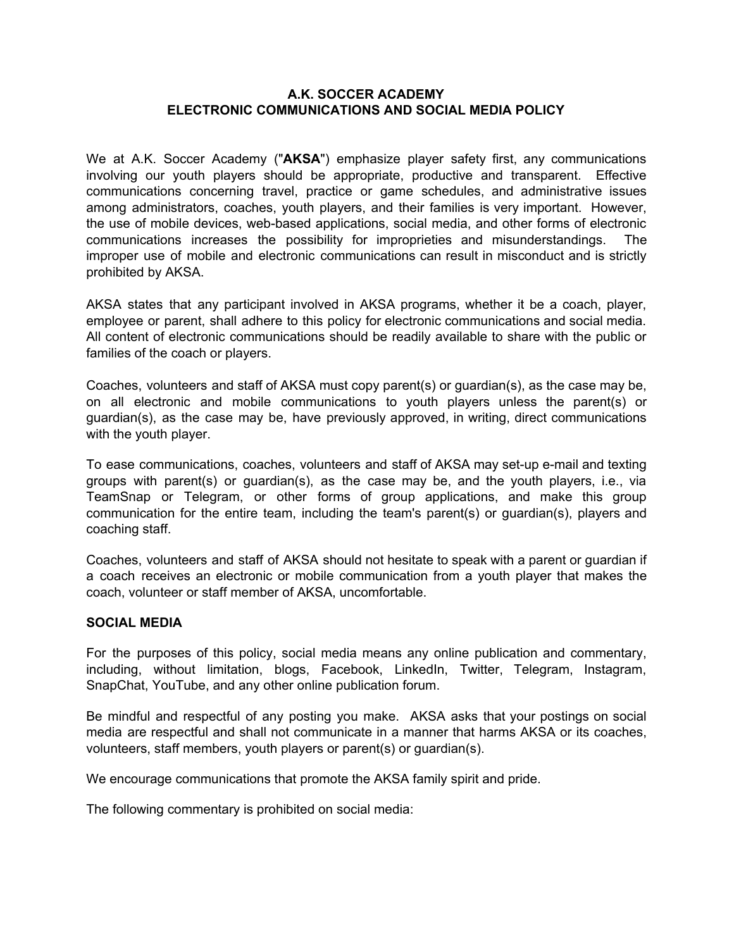## **A.K. SOCCER ACADEMY ELECTRONIC COMMUNICATIONS AND SOCIAL MEDIA POLICY**

We at A.K. Soccer Academy ("**AKSA**") emphasize player safety first, any communications involving our youth players should be appropriate, productive and transparent. Effective communications concerning travel, practice or game schedules, and administrative issues among administrators, coaches, youth players, and their families is very important. However, the use of mobile devices, web-based applications, social media, and other forms of electronic communications increases the possibility for improprieties and misunderstandings. The improper use of mobile and electronic communications can result in misconduct and is strictly prohibited by AKSA.

AKSA states that any participant involved in AKSA programs, whether it be a coach, player, employee or parent, shall adhere to this policy for electronic communications and social media. All content of electronic communications should be readily available to share with the public or families of the coach or players.

Coaches, volunteers and staff of AKSA must copy parent(s) or guardian(s), as the case may be, on all electronic and mobile communications to youth players unless the parent(s) or guardian(s), as the case may be, have previously approved, in writing, direct communications with the youth player.

To ease communications, coaches, volunteers and staff of AKSA may set-up e-mail and texting groups with parent(s) or guardian(s), as the case may be, and the youth players, i.e., via TeamSnap or Telegram, or other forms of group applications, and make this group communication for the entire team, including the team's parent(s) or guardian(s), players and coaching staff.

Coaches, volunteers and staff of AKSA should not hesitate to speak with a parent or guardian if a coach receives an electronic or mobile communication from a youth player that makes the coach, volunteer or staff member of AKSA, uncomfortable.

## **SOCIAL MEDIA**

For the purposes of this policy, social media means any online publication and commentary, including, without limitation, blogs, Facebook, LinkedIn, Twitter, Telegram, Instagram, SnapChat, YouTube, and any other online publication forum.

Be mindful and respectful of any posting you make. AKSA asks that your postings on social media are respectful and shall not communicate in a manner that harms AKSA or its coaches, volunteers, staff members, youth players or parent(s) or guardian(s).

We encourage communications that promote the AKSA family spirit and pride.

The following commentary is prohibited on social media: